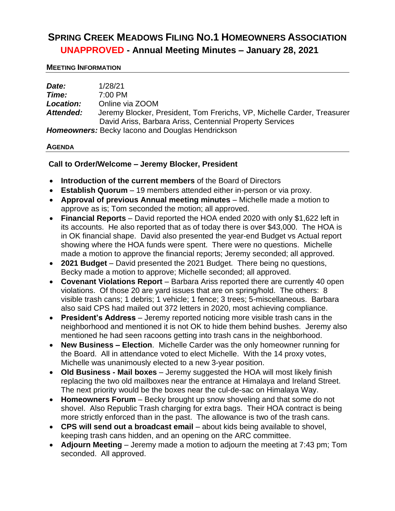## **SPRING CREEK MEADOWS FILING NO.1 HOMEOWNERS ASSOCIATION UNAPPROVED - Annual Meeting Minutes – January 28, 2021**

## **MEETING INFORMATION**

| Date:                                                   | 1/28/21                                                                 |
|---------------------------------------------------------|-------------------------------------------------------------------------|
| Time:                                                   | $7:00 \text{ PM}$                                                       |
| <b>Location:</b>                                        | Online via ZOOM                                                         |
| Attended:                                               | Jeremy Blocker, President, Tom Frerichs, VP, Michelle Carder, Treasurer |
|                                                         | David Ariss, Barbara Ariss, Centennial Property Services                |
| <b>Homeowners:</b> Becky lacono and Douglas Hendrickson |                                                                         |

## **AGENDA**

## **Call to Order/Welcome** *–* **Jeremy Blocker, President**

- **Introduction of the current members** of the Board of Directors
- **Establish Quorum** 19 members attended either in-person or via proxy.
- **Approval of previous Annual meeting minutes** Michelle made a motion to approve as is; Tom seconded the motion; all approved.
- **Financial Reports** David reported the HOA ended 2020 with only \$1,622 left in its accounts. He also reported that as of today there is over \$43,000. The HOA is in OK financial shape. David also presented the year-end Budget vs Actual report showing where the HOA funds were spent. There were no questions. Michelle made a motion to approve the financial reports; Jeremy seconded; all approved.
- **2021 Budget** David presented the 2021 Budget. There being no questions, Becky made a motion to approve; Michelle seconded; all approved.
- **Covenant Violations Report** Barbara Ariss reported there are currently 40 open violations. Of those 20 are yard issues that are on spring/hold. The others: 8 visible trash cans; 1 debris; 1 vehicle; 1 fence; 3 trees; 5-miscellaneous. Barbara also said CPS had mailed out 372 letters in 2020, most achieving compliance.
- **President's Address** Jeremy reported noticing more visible trash cans in the neighborhood and mentioned it is not OK to hide them behind bushes. Jeremy also mentioned he had seen racoons getting into trash cans in the neighborhood.
- **New Business – Election**. Michelle Carder was the only homeowner running for the Board. All in attendance voted to elect Michelle. With the 14 proxy votes, Michelle was unanimously elected to a new 3-year position.
- **Old Business - Mail boxes** Jeremy suggested the HOA will most likely finish replacing the two old mailboxes near the entrance at Himalaya and Ireland Street. The next priority would be the boxes near the cul-de-sac on Himalaya Way.
- **Homeowners Forum** Becky brought up snow shoveling and that some do not shovel. Also Republic Trash charging for extra bags. Their HOA contract is being more strictly enforced than in the past. The allowance is two of the trash cans.
- **CPS will send out a broadcast email**  about kids being available to shovel, keeping trash cans hidden, and an opening on the ARC committee.
- **Adjourn Meeting** Jeremy made a motion to adjourn the meeting at 7:43 pm; Tom seconded. All approved.